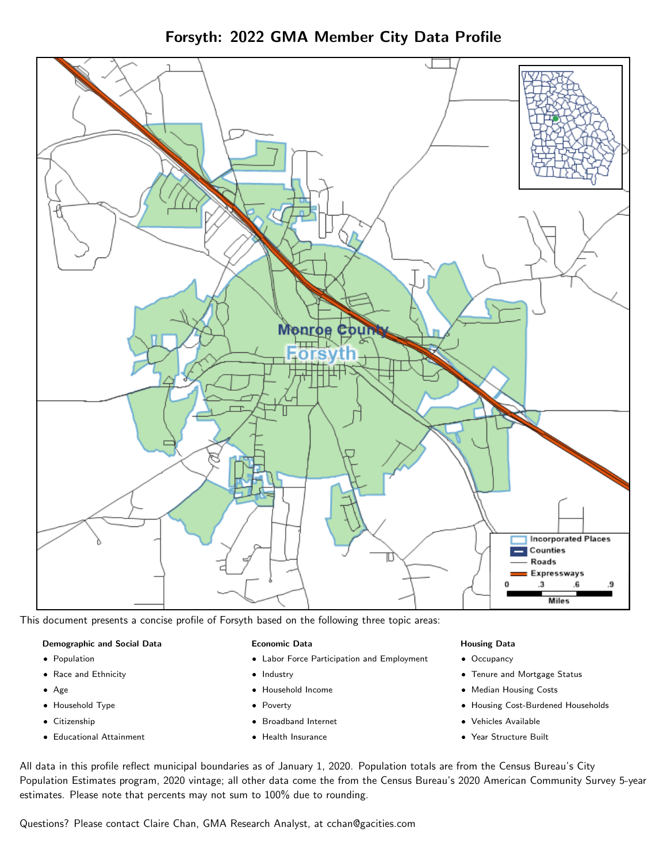

Forsyth: 2022 GMA Member City Data Profile

This document presents a concise profile of Forsyth based on the following three topic areas:

### Demographic and Social Data

- **•** Population
- Race and Ethnicity
- Age
- Household Type
- **Citizenship**
- Educational Attainment

### Economic Data

- Labor Force Participation and Employment
- Industry
- Household Income
- Poverty
- Broadband Internet
- Health Insurance

### Housing Data

- Occupancy
- Tenure and Mortgage Status
- Median Housing Costs
- Housing Cost-Burdened Households
- Vehicles Available
- Year Structure Built

All data in this profile reflect municipal boundaries as of January 1, 2020. Population totals are from the Census Bureau's City Population Estimates program, 2020 vintage; all other data come the from the Census Bureau's 2020 American Community Survey 5-year estimates. Please note that percents may not sum to 100% due to rounding.

Questions? Please contact Claire Chan, GMA Research Analyst, at [cchan@gacities.com.](mailto:cchan@gacities.com)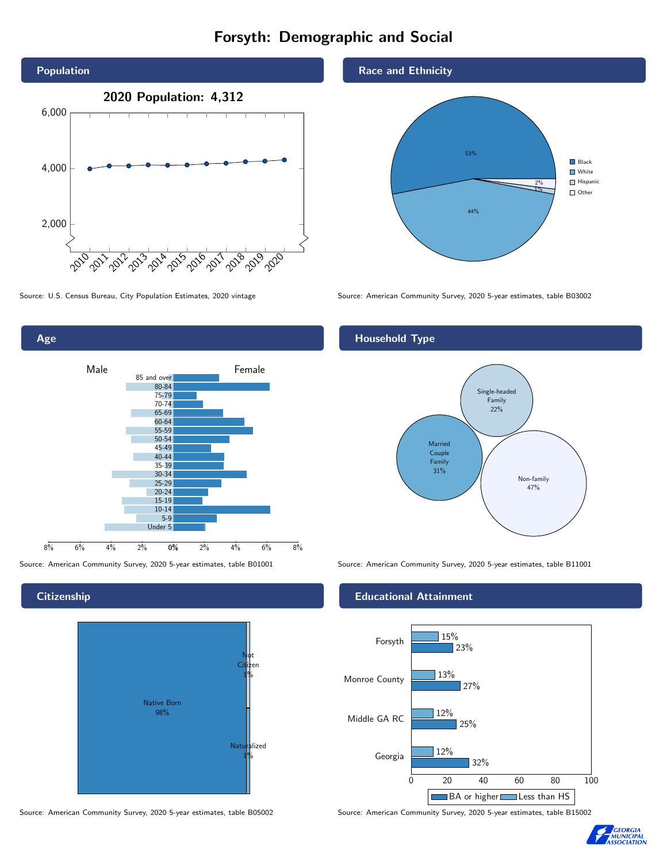## Forsyth: Demographic and Social





**Citizenship** 

Age



Source: American Community Survey, 2020 5-year estimates, table B05002 Source: American Community Survey, 2020 5-year estimates, table B15002





Source: U.S. Census Bureau, City Population Estimates, 2020 vintage Source: American Community Survey, 2020 5-year estimates, table B03002

### Household Type



Source: American Community Survey, 2020 5-year estimates, table B01001 Source: American Community Survey, 2020 5-year estimates, table B11001

#### Educational Attainment



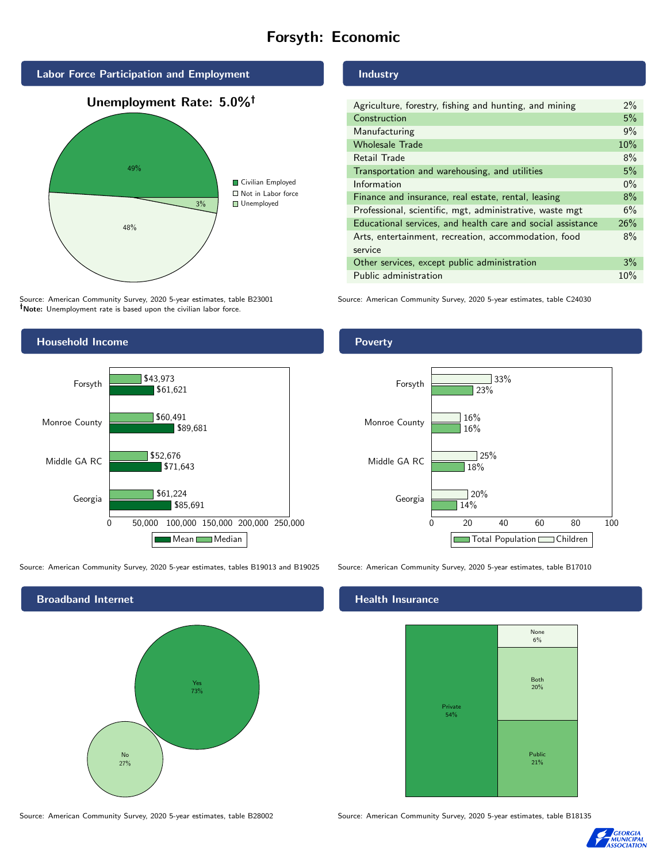## Forsyth: Economic



Source: American Community Survey, 2020 5-year estimates, table B23001 Note: Unemployment rate is based upon the civilian labor force.

## Industry

| Agriculture, forestry, fishing and hunting, and mining      | 2%    |
|-------------------------------------------------------------|-------|
| Construction                                                | 5%    |
| Manufacturing                                               | 9%    |
| <b>Wholesale Trade</b>                                      | 10%   |
| Retail Trade                                                | 8%    |
| Transportation and warehousing, and utilities               | 5%    |
| Information                                                 | $0\%$ |
| Finance and insurance, real estate, rental, leasing         | 8%    |
| Professional, scientific, mgt, administrative, waste mgt    | 6%    |
| Educational services, and health care and social assistance | 26%   |
| Arts, entertainment, recreation, accommodation, food        | 8%    |
| service                                                     |       |
| Other services, except public administration                | $3\%$ |
| Public administration                                       | 10%   |

Source: American Community Survey, 2020 5-year estimates, table C24030



Source: American Community Survey, 2020 5-year estimates, tables B19013 and B19025 Source: American Community Survey, 2020 5-year estimates, table B17010

Broadband Internet No 27% Yes 73%

#### Health Insurance



Source: American Community Survey, 2020 5-year estimates, table B28002 Source: American Community Survey, 2020 5-year estimates, table B18135